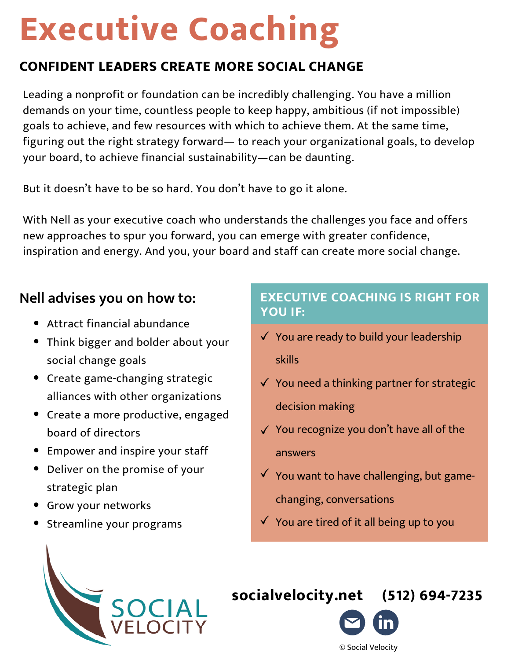# **Executive Coaching**

# **CONFIDENT LEADERS CREATE MORE SOCIAL CHANGE**

Leading a nonprofit or foundation can be incredibly challenging. You have a million demands on your time, countless people to keep happy, ambitious (if not impossible) goals to achieve, and few resources with which to achieve them. At the same time, figuring out the right strategy forward— to reach your organizational goals, to develop your board, to achieve financial sustainability—can be daunting.

But it doesn't have to be so hard. You don't have to go it alone.

With Nell as your executive coach who understands the challenges you face and offers new approaches to spur you forward, you can emerge with greater confidence, inspiration and energy. And you, your board and staff can create more social change.

# **Nell advises you on how to:**

- Attract financial abundance
- Think bigger and bolder about your social change goals
- Create game-changing strategic alliances with other organizations
- Create a more productive, engaged board of directors
- Empower and inspire your staff
- Deliver on the promise of your strategic plan
- Grow your networks
- Streamline your programs

### **EXECUTIVE COACHING IS RIGHT FOR YOU IF:**

- $\checkmark$  You are ready to build your leadership skills
- $\checkmark$  You need a thinking partner for strategic decision making
- $\sqrt{ }$  You recognize you don't have all of the answers
- $\checkmark$  You want to have challenging, but gamechanging, conversations
- $\checkmark$  You are tired of it all being up to you



# **[socialvelocity.net](https://www.socialvelocity.net/) (512) 694-7235**